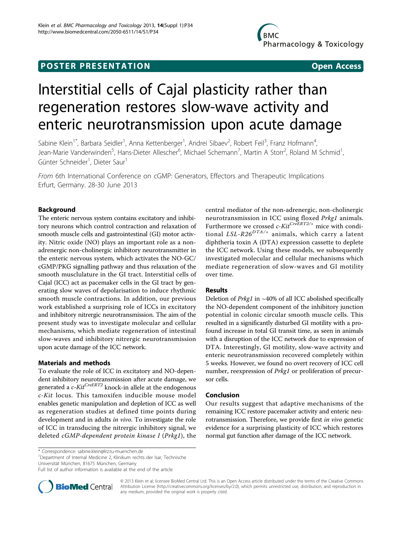## **POSTER PRESENTATION CONSUMING THE SERVICE SERVICE SERVICES**

# Interstitial cells of Cajal plasticity rather than regeneration restores slow-wave activity and enteric neurotransmission upon acute damage

Sabine Klein<sup>1\*</sup>, Barbara Seidler<sup>1</sup>, Anna Kettenberger<sup>1</sup>, Andrei Sibaev<sup>2</sup>, Robert Feil<sup>3</sup>, Franz Hofmann<sup>4</sup> , Jean-Marie Vanderwinden<sup>5</sup>, Hans-Dieter Allescher<sup>6</sup>, Michael Schemann<sup>7</sup>, Martin A Storr<sup>2</sup>, Roland M Schmid<sup>1</sup> , Günter Schneider<sup>1</sup>, Dieter Saur<sup>1</sup>

From 6th International Conference on cGMP: Generators, Effectors and Therapeutic Implications Erfurt, Germany. 28-30 June 2013

### Background

The enteric nervous system contains excitatory and inhibitory neurons which control contraction and relaxation of smooth muscle cells and gastrointestinal (GI) motor activity. Nitric oxide (NO) plays an important role as a nonadrenergic non-cholinergic inhibitory neurotransmitter in the enteric nervous system, which activates the NO-GC/ cGMP/PKG signalling pathway and thus relaxation of the smooth musclulature in the GI tract. Interstitial cells of Cajal (ICC) act as pacemaker cells in the GI tract by generating slow waves of depolarisation to induce rhythmic smooth muscle contractions. In addition, our previous work established a surprising role of ICCs in excitatory and inhibitory nitrergic neurotransmission. The aim of the present study was to investigate molecular and cellular mechanisms, which mediate regeneration of intestinal slow-waves and inhibitory nitrergic neurotransmission upon acute damage of the ICC network.

#### Materials and methods

To evaluate the role of ICC in excitatory and NO-dependent inhibitory neurotransmission after acute damage, we generated a  $c$ -Kit<sup>CreERT2</sup> knock-in allele at the endogenous c-Kit locus. This tamoxifen inducible mouse model enables genetic manipulation and depletion of ICC as well as regeneration studies at defined time points during development and in adults in vivo. To investigate the role of ICC in transducing the nitrergic inhibitory signal, we deleted cGMP-dependent protein kinase I (Prkg1), the

\* Correspondence: [sabine.klein@lrz.tu-muenchen.de](mailto:sabine.klein@lrz.tu-muenchen.de)

<sup>1</sup>Department of Internal Medicine 2, Klinikum rechts der Isar, Technische Universität München, 81675 München, Germany

Full list of author information is available at the end of the article



© 2013 Klein et al; licensee BioMed Central Ltd. This is an Open Access article distributed under the terms of the Creative Commons Attribution License [\(http://creativecommons.org/licenses/by/2.0](http://creativecommons.org/licenses/by/2.0)), which permits unrestricted use, distribution, and reproduction in any medium, provided the original work is properly cited.

central mediator of the non-adrenergic, non-cholinergic neurotransmission in ICC using floxed Prkg1 animals. Furthermore we crossed  $c$ -Kit<sup>CreERT2/+</sup> mice with conditional  $LSL-R26<sup>DTA/+</sup>$  animals, which carry a latent diphtheria toxin A (DTA) expression cassette to deplete the ICC network. Using these models, we subsequently investigated molecular and cellular mechanisms which mediate regeneration of slow-waves and GI motility over time.

#### Results

Deletion of *Prkg1* in  $~40\%$  of all ICC abolished specifically the NO-dependent component of the inhibitory junction potential in colonic circular smooth muscle cells. This resulted in a significantly disturbed GI motility with a profound increase in total GI transit time, as seen in animals with a disruption of the ICC network due to expression of DTA. Interestingly, GI motility, slow-wave activity and enteric neurotransmission recovered completely within 5 weeks. However, we found no overt recovery of ICC cell number, reexpression of Prkg1 or proliferation of precursor cells.

#### Conclusion

Our results suggest that adaptive mechanisms of the remaining ICC restore pacemaker activity and enteric neurotransmission. Therefore, we provide first in vivo genetic evidence for a surprising plasticity of ICC which restores normal gut function after damage of the ICC network.